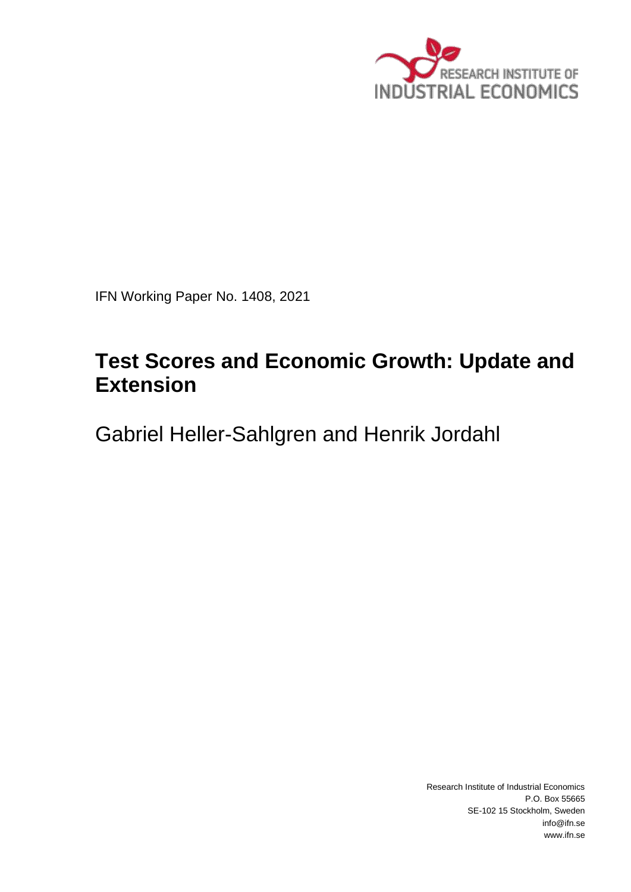

IFN Working Paper No. 1408, 2021

# **Test Scores and Economic Growth: Update and Extension**

Gabriel Heller-Sahlgren and Henrik Jordahl

Research Institute of Industrial Economics P.O. Box 55665 SE-102 15 Stockholm, Sweden info@ifn.se www.ifn.se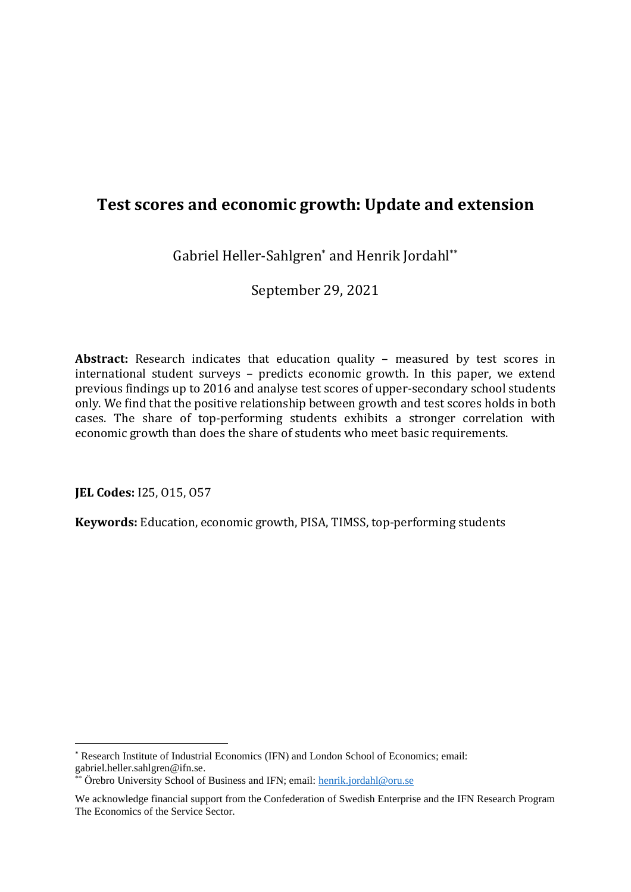# **Test scores and economic growth: Update and extension**

Gabriel Heller-Sahlgren\* and Henrik Jordahl\*\*

September 29, 2021

**Abstract:** Research indicates that education quality – measured by test scores in international student surveys – predicts economic growth. In this paper, we extend previous findings up to 2016 and analyse test scores of upper-secondary school students only. We find that the positive relationship between growth and test scores holds in both cases. The share of top-performing students exhibits a stronger correlation with economic growth than does the share of students who meet basic requirements.

**JEL Codes:** I25, O15, O57

**Keywords:** Education, economic growth, PISA, TIMSS, top-performing students

<sup>\*</sup> Research Institute of Industrial Economics (IFN) and London School of Economics; email: gabriel.heller.sahlgren@ifn.se.

Örebro University School of Business and IFN; email: [henrik.jordahl@oru.se](mailto:henrik.jordahl@oru.se)

We acknowledge financial support from the Confederation of Swedish Enterprise and the IFN Research Program The Economics of the Service Sector.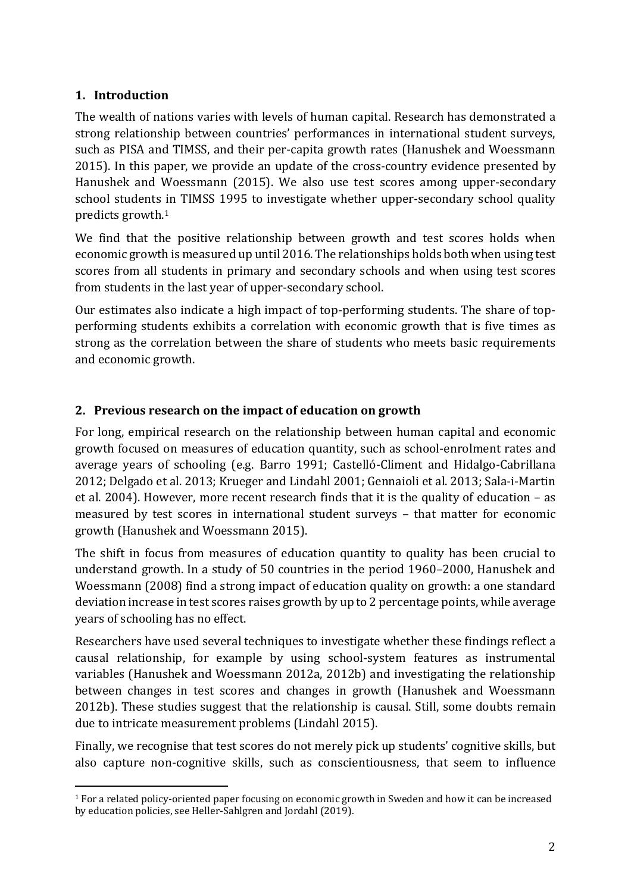# **1. Introduction**

The wealth of nations varies with levels of human capital. Research has demonstrated a strong relationship between countries' performances in international student surveys, such as PISA and TIMSS, and their per-capita growth rates (Hanushek and Woessmann 2015). In this paper, we provide an update of the cross-country evidence presented by Hanushek and Woessmann (2015). We also use test scores among upper-secondary school students in TIMSS 1995 to investigate whether upper-secondary school quality predicts growth.<sup>1</sup>

We find that the positive relationship between growth and test scores holds when economic growth is measured up until 2016. The relationships holds both when using test scores from all students in primary and secondary schools and when using test scores from students in the last year of upper-secondary school.

Our estimates also indicate a high impact of top-performing students. The share of topperforming students exhibits a correlation with economic growth that is five times as strong as the correlation between the share of students who meets basic requirements and economic growth.

# **2. Previous research on the impact of education on growth**

For long, empirical research on the relationship between human capital and economic growth focused on measures of education quantity, such as school-enrolment rates and average years of schooling (e.g. Barro 1991; Castelló-Climent and Hidalgo-Cabrillana 2012; Delgado et al. 2013; Krueger and Lindahl 2001; Gennaioli et al. 2013; Sala-i-Martin et al. 2004). However, more recent research finds that it is the quality of education – as measured by test scores in international student surveys – that matter for economic growth (Hanushek and Woessmann 2015).

The shift in focus from measures of education quantity to quality has been crucial to understand growth. In a study of 50 countries in the period 1960–2000, Hanushek and Woessmann (2008) find a strong impact of education quality on growth: a one standard deviation increase in test scores raises growth by up to 2 percentage points, while average years of schooling has no effect.

Researchers have used several techniques to investigate whether these findings reflect a causal relationship, for example by using school-system features as instrumental variables (Hanushek and Woessmann 2012a, 2012b) and investigating the relationship between changes in test scores and changes in growth (Hanushek and Woessmann 2012b). These studies suggest that the relationship is causal. Still, some doubts remain due to intricate measurement problems (Lindahl 2015).

Finally, we recognise that test scores do not merely pick up students' cognitive skills, but also capture non-cognitive skills, such as conscientiousness, that seem to influence

<sup>1</sup> For a related policy-oriented paper focusing on economic growth in Sweden and how it can be increased by education policies, see Heller-Sahlgren and Jordahl (2019).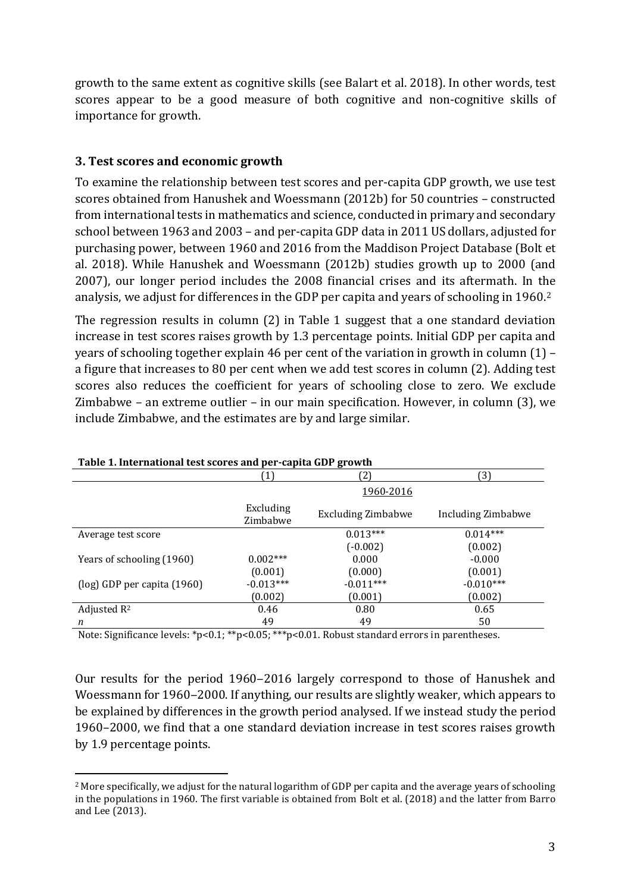growth to the same extent as cognitive skills (see Balart et al. 2018). In other words, test scores appear to be a good measure of both cognitive and non-cognitive skills of importance for growth.

### **3. Test scores and economic growth**

To examine the relationship between test scores and per-capita GDP growth, we use test scores obtained from Hanushek and Woessmann (2012b) for 50 countries – constructed from international tests in mathematics and science, conducted in primary and secondary school between 1963 and 2003 – and per-capita GDP data in 2011 US dollars, adjusted for purchasing power, between 1960 and 2016 from the Maddison Project Database (Bolt et al. 2018). While Hanushek and Woessmann (2012b) studies growth up to 2000 (and 2007), our longer period includes the 2008 financial crises and its aftermath. In the analysis, we adjust for differences in the GDP per capita and years of schooling in 1960.<sup>2</sup>

The regression results in column (2) in Table 1 suggest that a one standard deviation increase in test scores raises growth by 1.3 percentage points. Initial GDP per capita and years of schooling together explain 46 per cent of the variation in growth in column (1) – a figure that increases to 80 per cent when we add test scores in column (2). Adding test scores also reduces the coefficient for years of schooling close to zero. We exclude Zimbabwe – an extreme outlier – in our main specification. However, in column (3), we include Zimbabwe, and the estimates are by and large similar.

| Table 1. International test scores and per-capita dDT growth |                       |                           |                    |  |  |
|--------------------------------------------------------------|-----------------------|---------------------------|--------------------|--|--|
|                                                              |                       | (2)                       | (3)                |  |  |
|                                                              | 1960-2016             |                           |                    |  |  |
|                                                              | Excluding<br>Zimbabwe | <b>Excluding Zimbabwe</b> | Including Zimbabwe |  |  |
| Average test score                                           |                       | $0.013***$                | $0.014***$         |  |  |
|                                                              |                       | $(-0.002)$                | (0.002)            |  |  |
| Years of schooling (1960)                                    | $0.002***$            | 0.000                     | $-0.000$           |  |  |
|                                                              | (0.001)               | (0.000)                   | (0.001)            |  |  |
| $\log$ ) GDP per capita (1960)                               | $-0.013***$           | $-0.011***$               | $-0.010***$        |  |  |
|                                                              | (0.002)               | (0.001)                   | (0.002)            |  |  |
| Adjusted $R^2$                                               | 0.46                  | 0.80                      | 0.65               |  |  |
| n                                                            | 49                    | 49                        | 50                 |  |  |

#### **Table 1. International test scores and per-capita GDP growth**

Note: Significance levels: \*p<0.1; \*\*p<0.05; \*\*\*p<0.01. Robust standard errors in parentheses.

Our results for the period 1960–2016 largely correspond to those of Hanushek and Woessmann for 1960–2000. If anything, our results are slightly weaker, which appears to be explained by differences in the growth period analysed. If we instead study the period 1960–2000, we find that a one standard deviation increase in test scores raises growth by 1.9 percentage points.

<sup>2</sup> More specifically, we adjust for the natural logarithm of GDP per capita and the average years of schooling in the populations in 1960. The first variable is obtained from Bolt et al. (2018) and the latter from Barro and Lee (2013).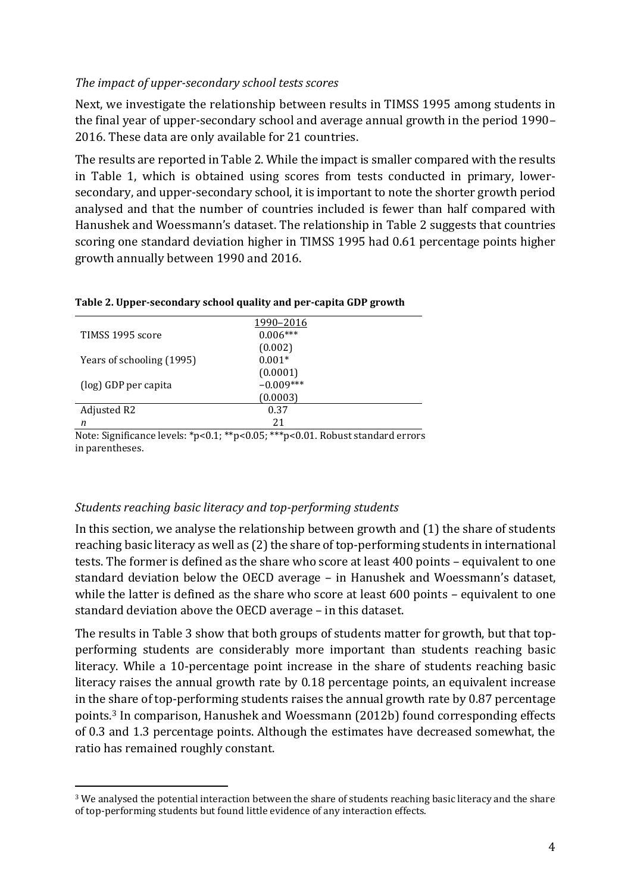#### *The impact of upper-secondary school tests scores*

Next, we investigate the relationship between results in TIMSS 1995 among students in the final year of upper-secondary school and average annual growth in the period 1990– 2016. These data are only available for 21 countries.

The results are reported in Table 2. While the impact is smaller compared with the results in Table 1, which is obtained using scores from tests conducted in primary, lowersecondary, and upper-secondary school, it is important to note the shorter growth period analysed and that the number of countries included is fewer than half compared with Hanushek and Woessmann's dataset. The relationship in Table 2 suggests that countries scoring one standard deviation higher in TIMSS 1995 had 0.61 percentage points higher growth annually between 1990 and 2016.

| TIMSS 1995 score          | 1990-2016<br>$0.006***$ |  |
|---------------------------|-------------------------|--|
|                           | (0.002)                 |  |
| Years of schooling (1995) | $0.001*$                |  |
|                           | (0.0001)                |  |
| (log) GDP per capita      | $-0.009***$             |  |
|                           | (0.0003)                |  |
| Adjusted R2               | 0.37                    |  |
| n                         | 21                      |  |

#### **Table 2. Upper-secondary school quality and per-capita GDP growth**

Note: Significance levels: \*p<0.1; \*\*p<0.05; \*\*\*p<0.01. Robust standard errors in parentheses.

#### *Students reaching basic literacy and top-performing students*

In this section, we analyse the relationship between growth and (1) the share of students reaching basic literacy as well as (2) the share of top-performing students in international tests. The former is defined as the share who score at least 400 points – equivalent to one standard deviation below the OECD average – in Hanushek and Woessmann's dataset, while the latter is defined as the share who score at least 600 points – equivalent to one standard deviation above the OECD average – in this dataset.

The results in Table 3 show that both groups of students matter for growth, but that topperforming students are considerably more important than students reaching basic literacy. While a 10-percentage point increase in the share of students reaching basic literacy raises the annual growth rate by 0.18 percentage points, an equivalent increase in the share of top-performing students raises the annual growth rate by 0.87 percentage points.<sup>3</sup> In comparison, Hanushek and Woessmann (2012b) found corresponding effects of 0.3 and 1.3 percentage points. Although the estimates have decreased somewhat, the ratio has remained roughly constant.

<sup>3</sup> We analysed the potential interaction between the share of students reaching basic literacy and the share of top-performing students but found little evidence of any interaction effects.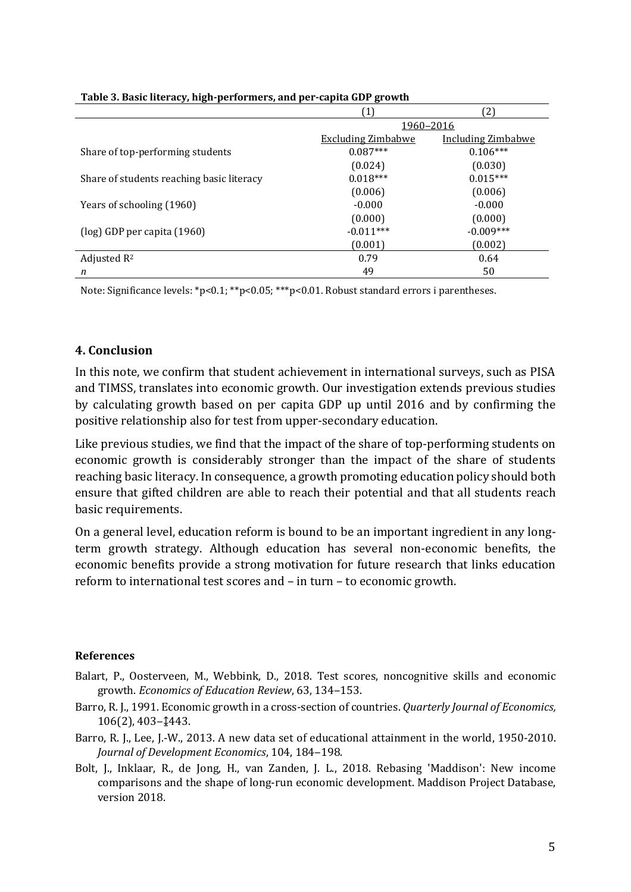| . .<br>້                                  | ້<br>$\mathbf{1}$         | 2)                        |
|-------------------------------------------|---------------------------|---------------------------|
|                                           | 1960-2016                 |                           |
|                                           | <b>Excluding Zimbabwe</b> | <b>Including Zimbabwe</b> |
| Share of top-performing students          | $0.087***$                | $0.106***$                |
|                                           | (0.024)                   | (0.030)                   |
| Share of students reaching basic literacy | $0.018***$                | $0.015***$                |
|                                           | (0.006)                   | (0.006)                   |
| Years of schooling (1960)                 | $-0.000$                  | $-0.000$                  |
|                                           | (0.000)                   | (0.000)                   |
| $\log$ ) GDP per capita (1960)            | $-0.011***$               | $-0.009***$               |
|                                           | (0.001)                   | (0.002)                   |
| Adjusted $R^2$                            | 0.79                      | 0.64                      |
| n                                         | 49                        | 50                        |

#### **Table 3. Basic literacy, high-performers, and per-capita GDP growth**

Note: Significance levels: \*p<0.1; \*\*p<0.05; \*\*\*p<0.01. Robust standard errors i parentheses.

#### **4. Conclusion**

In this note, we confirm that student achievement in international surveys, such as PISA and TIMSS, translates into economic growth. Our investigation extends previous studies by calculating growth based on per capita GDP up until 2016 and by confirming the positive relationship also for test from upper-secondary education.

Like previous studies, we find that the impact of the share of top-performing students on economic growth is considerably stronger than the impact of the share of students reaching basic literacy. In consequence, a growth promoting education policy should both ensure that gifted children are able to reach their potential and that all students reach basic requirements.

On a general level, education reform is bound to be an important ingredient in any longterm growth strategy. Although education has several non-economic benefits, the economic benefits provide a strong motivation for future research that links education reform to international test scores and – in turn – to economic growth.

#### **References**

- Balart, P., Oosterveen, M., Webbink, D., 2018. Test scores, noncognitive skills and economic growth. *Economics of Education Review*, 63, 134-153.
- Barro, R. J., 1991. Economic growth in a cross-section of countries. *Quarterly Journal of Economics,* 106(2), 403‒↨443.
- Barro, R. J., Lee, J.-W., 2013. A new data set of educational attainment in the world, 1950-2010. Journal of Development Economics, 104, 184-198.
- Bolt, J., Inklaar, R., de Jong, H., van Zanden, J. L., 2018. Rebasing 'Maddison': New income comparisons and the shape of long-run economic development. Maddison Project Database, version 2018.